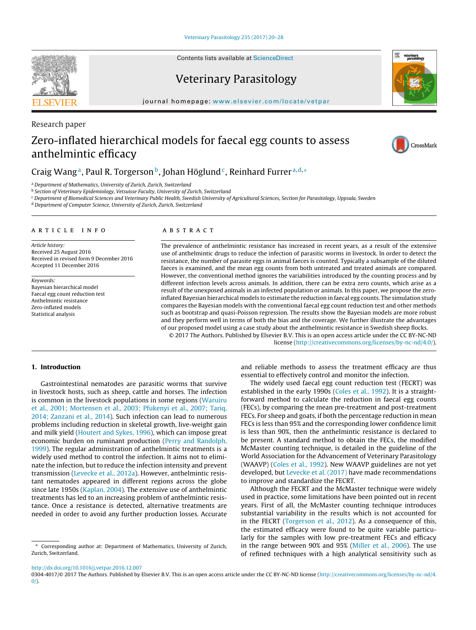Contents lists available at [ScienceDirect](http://www.sciencedirect.com/science/journal/03044017)

## Veterinary Parasitology

journal homepage: [www.elsevier.com/locate/vetpar](http://www.elsevier.com/locate/vetpar)

# Zero-inflated hierarchical models for faecal egg counts to assess anthelmintic efficacy

### Craig Wang<sup>a</sup>, Paul R. Torgerson<sup>b</sup>, Johan Höglund<sup>c</sup>, Reinhard Furrer<sup>a,d,\*</sup>

<sup>a</sup> Department of Mathematics, University of Zurich, Zurich, Switzerland

<sup>b</sup> Section of Veterinary Epidemiology, Vetsuisse Faculty, University of Zurich, Switzerland

<sup>c</sup> Department of Biomedical Sciences and Veterinary Public Health, Swedish University of Agricultural Sciences, Section for Parasitology, Uppsala, Sweden

<sup>d</sup> Department of Computer Science, University of Zurich, Zurich, Switzerland

### a r t i c l e i n f o

Article history: Received 25 August 2016 Received in revised form 9 December 2016 Accepted 11 December 2016

Keywords: Bayesian hierarchical model Faecal egg count reduction test Anthelmintic resistance Zero-inflated models Statistical analysis

#### A B S T R A C T

The prevalence of anthelmintic resistance has increased in recent years, as a result of the extensive use of anthelmintic drugs to reduce the infection of parasitic worms in livestock. In order to detect the resistance, the number of parasite eggs in animal faeces is counted. Typically a subsample of the diluted faeces is examined, and the mean egg counts from both untreated and treated animals are compared. However, the conventional method ignores the variabilities introduced by the counting process and by different infection levels across animals. In addition, there can be extra zero counts, which arise as a result of the unexposed animals in an infected population or animals. In this paper, we propose the zeroinflated Bayesian hierarchical models to estimate the reduction in faecal egg counts. The simulation study compares the Bayesian models with the conventional faecal egg count reduction test and other methods such as bootstrap and quasi-Poisson regression. The results show the Bayesian models are more robust and they perform well in terms of both the bias and the coverage. We further illustrate the advantages of our proposed model using a case study about the anthelmintic resistance in Swedish sheep flocks.

© 2017 The Authors. Published by Elsevier B.V. This is an open access article under the CC BY-NC-ND license [\(http://creativecommons.org/licenses/by-nc-nd/4.0/](http://creativecommons.org/licenses/by-nc-nd/4.0/)).

to improve and standardize the FECRT.

and reliable methods to assess the treatment efficacy are thus

The widely used faecal egg count reduction test (FECRT) was established in the early 1990s ([Coles](#page--1-0) et [al.,](#page--1-0) [1992\).](#page--1-0) It is a straightforward method to calculate the reduction in faecal egg counts (FECs), by comparing the mean pre-treatment and post-treatment FECs. For sheep and goats, if both the percentage reduction in mean FECs is less than 95% and the corresponding lower confidence limit is less than 90%, then the anthelmintic resistance is declared to be present. A standard method to obtain the FECs, the modified McMaster counting technique, is detailed in the guideline of the World Association for the Advancement of Veterinary Parasitology (WAAVP) [\(Coles](#page--1-0) et [al.,](#page--1-0) [1992\).](#page--1-0) New WAAVP guidelines are not yet developed, but [Levecke](#page--1-0) et [al.](#page--1-0) [\(2017\)](#page--1-0) have made recommendations

Although the FECRT and the McMaster technique were widely used in practice, some limitations have been pointed out in recent years. First of all, the McMaster counting technique introduces substantial variability in the results which is not accounted for in the FECRT [\(Torgerson](#page--1-0) et [al.,](#page--1-0) [2012\).](#page--1-0) As a consequence of this, the estimated efficacy were found to be quite variable particularly for the samples with low pre-treatment FECs and efficacy in the range between 90% and 95% ([Miller](#page--1-0) et [al.,](#page--1-0) [2006\).](#page--1-0) The use of refined techniques with a high analytical sensitivity such as

essential to effectively control and monitor the infection.

#### **1. Introduction**

Gastrointestinal nematodes are parasitic worms that survive in livestock hosts, such as sheep, cattle and horses. The infection is common in the livestock populations in some regions [\(Waruiru](#page--1-0) et [al.,](#page--1-0) [2001;](#page--1-0) [Mortensen](#page--1-0) et [al.,](#page--1-0) [2003;](#page--1-0) [Pfukenyi](#page--1-0) et [al.,](#page--1-0) [2007;](#page--1-0) [Tariq,](#page--1-0) [2014;](#page--1-0) [Zanzani](#page--1-0) et [al.,](#page--1-0) [2014\).](#page--1-0) Such infection can lead to numerous problems including reduction in skeletal growth, live-weight gain and milk yield ([Houtert](#page--1-0) [and](#page--1-0) [Sykes,](#page--1-0) [1996\),](#page--1-0) which can impose great economic burden on ruminant production ([Perry](#page--1-0) [and](#page--1-0) [Randolph,](#page--1-0) [1999\).](#page--1-0) The regular administration of anthelmintic treatments is a widely used method to control the infection. It aims not to eliminate the infection, but to reduce the infection intensity and prevent transmission ([Levecke](#page--1-0) et [al.,](#page--1-0) [2012a\).](#page--1-0) However, anthelmintic resistant nematodes appeared in different regions across the globe since late 1950s [\(Kaplan,](#page--1-0) [2004\).](#page--1-0) The extensive use of anthelmintic treatments has led to an increasing problem of anthelmintic resistance. Once a resistance is detected, alternative treatments are needed in order to avoid any further production losses. Accurate

[http://dx.doi.org/10.1016/j.vetpar.2016.12.007](dx.doi.org/10.1016/j.vetpar.2016.12.007)







Research paper

<sup>∗</sup> Corresponding author at: Department of Mathematics, University of Zurich, Zurich, Switzerland.

<sup>0304-4017/© 2017</sup> The Authors. Published by Elsevier B.V. This is an open access article under the CC BY-NC-ND license ([http://creativecommons.org/licenses/by-nc-nd/4.](http://creativecommons.org/licenses/by-nc-nd/4.0/)  $0/$ ).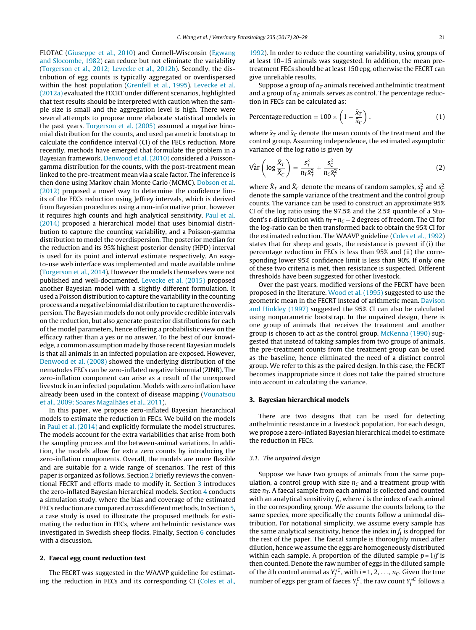FLOTAC ([Giuseppe](#page--1-0) et [al.,](#page--1-0) [2010\)](#page--1-0) and Cornell-Wisconsin [\(Egwang](#page--1-0) [and](#page--1-0) [Slocombe,](#page--1-0) [1982\)](#page--1-0) can reduce but not eliminate the variability ([Torgerson](#page--1-0) et [al.,](#page--1-0) [2012;](#page--1-0) [Levecke](#page--1-0) et [al.,](#page--1-0) [2012b\).](#page--1-0) Secondly, the distribution of egg counts is typically aggregated or overdispersed within the host population ([Grenfell](#page--1-0) et [al.,](#page--1-0) [1995\).](#page--1-0) [Levecke](#page--1-0) et [al.](#page--1-0) [\(2012a\)](#page--1-0) evaluated the FECRT under different scenarios, highlighted that test results should be interpreted with caution when the sample size is small and the aggregation level is high. There were several attempts to propose more elaborate statistical models in the past years. [Torgerson](#page--1-0) et [al.](#page--1-0) [\(2005\)](#page--1-0) assumed a negative binomial distribution for the counts, and used parametric bootstrap to calculate the confidence interval (CI) of the FECs reduction. More recently, methods have emerged that formulate the problem in a Bayesian framework. [Denwood](#page--1-0) et [al.](#page--1-0) [\(2010\)](#page--1-0) considered a Poissongamma distribution for the counts, with the post-treatment mean linked to the pre-treatment mean via a scale factor. The inference is then done using Markov chain Monte Carlo (MCMC). [Dobson](#page--1-0) et [al.](#page--1-0) [\(2012\)](#page--1-0) proposed a novel way to determine the confidence limits of the FECs reduction using Jeffrey intervals, which is derived from Bayesian procedures using a non-informative prior, however it requires high counts and high analytical sensitivity. [Paul](#page--1-0) et [al.](#page--1-0) [\(2014\)](#page--1-0) proposed a hierarchical model that uses binomial distribution to capture the counting variability, and a Poisson-gamma distribution to model the overdispersion. The posterior median for the reduction and its 95% highest posterior density (HPD) interval is used for its point and interval estimate respectively. An easyto-use web interface was implemented and made available online ([Torgerson](#page--1-0) et [al.,](#page--1-0) [2014\).](#page--1-0) However the models themselves were not published and well-documented. [Levecke](#page--1-0) et [al.](#page--1-0) [\(2015\)](#page--1-0) proposed another Bayesian model with a slightly different formulation. It used a Poisson distribution to capture the variability in the counting process and a negative binomial distribution to capture the overdispersion. The Bayesian models do not only provide credible intervals on the reduction, but also generate posterior distributions for each of the model parameters, hence offering a probabilistic view on the efficacy rather than a yes or no answer. To the best of our knowledge, a common assumption made by those recent Bayesian models is that all animals in an infected population are exposed. However, [Denwood](#page--1-0) et [al.](#page--1-0) [\(2008\)](#page--1-0) showed the underlying distribution of the nematodes FECs can be zero-inflated negative binomial (ZINB). The zero-inflation component can arise as a result of the unexposed livestock in an infected population. Models with zero inflation have already been used in the context of disease mapping [\(Vounatsou](#page--1-0) et [al.,](#page--1-0) [2009;](#page--1-0) [Soares](#page--1-0) [Magalhães](#page--1-0) et [al.,](#page--1-0) [2011\).](#page--1-0)

In this paper, we propose zero-inflated Bayesian hierarchical models to estimate the reduction in FECs. We build on the models in [Paul](#page--1-0) et [al.](#page--1-0) [\(2014\)](#page--1-0) and explicitly formulate the model structures. The models account for the extra variabilities that arise from both the sampling process and the between-animal variations. In addition, the models allow for extra zero counts by introducing the zero-inflation components. Overall, the models are more flexible and are suitable for a wide range of scenarios. The rest of this paper is organized as follows. Section 2 briefly reviews the conventional FECRT and efforts made to modify it. Section 3 introduces the zero-inflated Bayesian hierarchical models. Section [4](#page--1-0) conducts a simulation study, where the bias and coverage of the estimated FECs reduction are compared across different methods. In Section [5,](#page--1-0) a case study is used to illustrate the proposed methods for estimating the reduction in FECs, where anthelmintic resistance was investigated in Swedish sheep flocks. Finally, Section [6](#page--1-0) concludes with a discussion.

#### **2. Faecal egg count reduction test**

The FECRT was suggested in the WAAVP guideline for estimating the reduction in FECs and its corresponding CI [\(Coles](#page--1-0) et [al.,](#page--1-0)

[1992\).](#page--1-0) In order to reduce the counting variability, using groups of at least 10–15 animals was suggested. In addition, the mean pretreatment FECs should be at least 150 epg, otherwise the FECRT can give unreliable results.

Suppose a group of  $n<sub>T</sub>$  animals received anthelmintic treatment and a group of  $n<sub>C</sub>$  animals serves as control. The percentage reduction in FECs can be calculated as:

Percentage reduction = 
$$
100 \times \left(1 - \frac{\bar{x}_T}{\bar{x}_C}\right)
$$
, (1)

where  $\bar{x}_T$  and  $\bar{x}_C$  denote the mean counts of the treatment and the control group. Assuming independence, the estimated asymptotic variance of the log ratio is given by

$$
\hat{\text{Var}}\left(\log\frac{\bar{X}_T}{\bar{X}_C}\right) = \frac{s_T^2}{n_T\bar{x}_T^2} + \frac{s_C^2}{n_C\bar{x}_C^2}.\tag{2}
$$

where  $\bar{X}_T$  and  $\bar{X}_C$  denote the means of random samples,  $s_T^2$  and  $s_C^2$ denote the sample variance of the treatment and the control group counts. The variance can be used to construct an approximate 95% CI of the log ratio using the 97.5% and the 2.5% quantile of a Student's t-distribution with  $n_T$  +  $n_C$  – 2 degrees of freedom. The CI for the log-ratio can be then transformed back to obtain the 95% CI for the estimated reduction. The WAAVP guideline ([Coles](#page--1-0) et [al.,](#page--1-0) [1992\)](#page--1-0) states that for sheep and goats, the resistance is present if (i) the percentage reduction in FECs is less than 95% and (ii) the corresponding lower 95% confidence limit is less than 90%. If only one of these two criteria is met, then resistance is suspected. Different thresholds have been suggested for other livestock.

Over the past years, modified versions of the FECRT have been proposed in the literature. [Wood](#page--1-0) et [al.](#page--1-0) [\(1995\)](#page--1-0) suggested to use the geometric mean in the FECRT instead of arithmetic mean. [Davison](#page--1-0) [and](#page--1-0) [Hinkley](#page--1-0) [\(1997\)](#page--1-0) suggested the 95% CI can also be calculated using nonparametric bootstrap. In the unpaired design, there is one group of animals that receives the treatment and another group is chosen to act as the control group. [McKenna](#page--1-0) [\(1990\)](#page--1-0) suggested that instead of taking samples from two groups of animals, the pre-treatment counts from the treatment group can be used as the baseline, hence eliminated the need of a distinct control group. We refer to this as the paired design. In this case, the FECRT becomes inappropriate since it does not take the paired structure into account in calculating the variance.

#### **3. Bayesian hierarchical models**

There are two designs that can be used for detecting anthelmintic resistance in a livestock population. For each design, we propose a zero-inflated Bayesian hierarchical model to estimate the reduction in FECs.

#### 3.1. The unpaired design

Suppose we have two groups of animals from the same population, a control group with size  $n<sub>C</sub>$  and a treatment group with size  $n<sub>T</sub>$ . A faecal sample from each animal is collected and counted with an analytical sensitivity  $f_i$ , where *i* is the index of each animal in the corresponding group. We assume the counts belong to the same species, more specifically the counts follow a unimodal distribution. For notational simplicity, we assume every sample has the same analytical sensitivity, hence the index in  $f_i$  is dropped for the rest of the paper. The faecal sample is thoroughly mixed after dilution, hence we assume the eggs are homogeneously distributed within each sample. A proportion of the diluted sample  $p = 1/f$  is then counted. Denote the raw number of eggs in the diluted sample of the *i*th control animal as  $Y_i^*C$ , with  $i = 1, 2, ..., n_C$ . Given the true number of eggs per gram of faeces  $Y_i^C$ , the raw count  $Y_i^{C}$  follows a